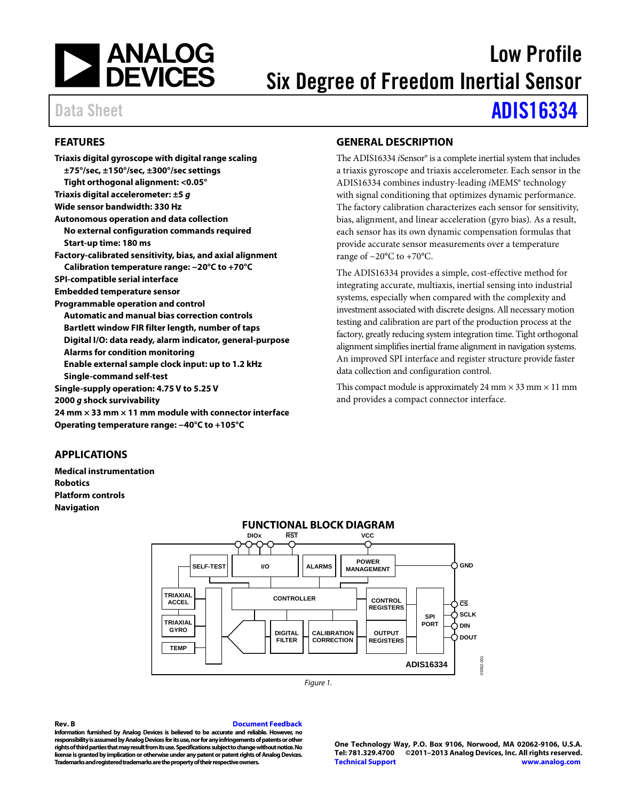

# Low Profile Six Degree of Freedom Inertial Sensor

Data Sheet **[ADIS16334](http://www.analog.com/ADIS16334?doc=ADIS16334.pdf)** 

## <span id="page-0-0"></span>**FEATURES**

| Triaxis digital gyroscope with digital range scaling                |
|---------------------------------------------------------------------|
| ±75°/sec, ±150°/sec, ±300°/sec settings                             |
| Tight orthogonal alignment: <0.05°                                  |
| Triaxis digital accelerometer: $\pm 5$ g                            |
| Wide sensor bandwidth: 330 Hz                                       |
| <b>Autonomous operation and data collection</b>                     |
| No external configuration commands required                         |
| Start-up time: 180 ms                                               |
| Factory-calibrated sensitivity, bias, and axial alignment           |
| Calibration temperature range: -20°C to +70°C                       |
| SPI-compatible serial interface                                     |
| <b>Embedded temperature sensor</b>                                  |
| <b>Programmable operation and control</b>                           |
| <b>Automatic and manual bias correction controls</b>                |
| Bartlett window FIR filter length, number of taps                   |
| Digital I/O: data ready, alarm indicator, general-purpose           |
| <b>Alarms for condition monitoring</b>                              |
| Enable external sample clock input: up to 1.2 kHz                   |
| <b>Single-command self-test</b>                                     |
| Single-supply operation: 4.75 V to 5.25 V                           |
| 2000 g shock survivability                                          |
| 24 mm $\times$ 33 mm $\times$ 11 mm module with connector interface |
| Operating temperature range: -40°C to +105°C                        |

## <span id="page-0-2"></span>**GENERAL DESCRIPTION**

The ADIS16334 *i*Sensor® is a complete inertial system that includes a triaxis gyroscope and triaxis accelerometer. Each sensor in the ADIS16334 combines industry-leading *i*MEMS® technology with signal conditioning that optimizes dynamic performance. The factory calibration characterizes each sensor for sensitivity, bias, alignment, and linear acceleration (gyro bias). As a result, each sensor has its own dynamic compensation formulas that provide accurate sensor measurements over a temperature range of −20°C to +70°C.

The ADIS16334 provides a simple, cost-effective method for integrating accurate, multiaxis, inertial sensing into industrial systems, especially when compared with the complexity and investment associated with discrete designs. All necessary motion testing and calibration are part of the production process at the factory, greatly reducing system integration time. Tight orthogonal alignment simplifies inertial frame alignment in navigation systems. An improved SPI interface and register structure provide faster data collection and configuration control.

This compact module is approximately 24 mm  $\times$  33 mm  $\times$  11 mm and provides a compact connector interface.

## <span id="page-0-1"></span>**APPLICATIONS**

<span id="page-0-3"></span>**Medical instrumentation Robotics Platform controls Navigation**



#### **Rev. B [Document Feedback](https://form.analog.com/Form_Pages/feedback/documentfeedback.aspx?doc=ADIS16334.pdf&product=ADIS16334&rev=B)**

**Information furnished by Analog Devices is believed to be accurate and reliable. However, no responsibility is assumed by Analog Devices for its use, nor for any infringements of patents or other rights of third parties that may result from its use. Specifications subject to change without notice. No license is granted by implication or otherwise under any patent or patent rights of Analog Devices. Trademarks and registered trademarks are the property of their respective owners.**

**One Technology Way, P.O. Box 9106, Norwood, MA 02062-9106, U.S.A. Tel: 781.329.4700 ©2011–2013 Analog Devices, Inc. All rights reserved. [Technical Support](http://www.analog.com/en/content/technical_support_page/fca.html) [www.analog.com](http://www.analog.com/)**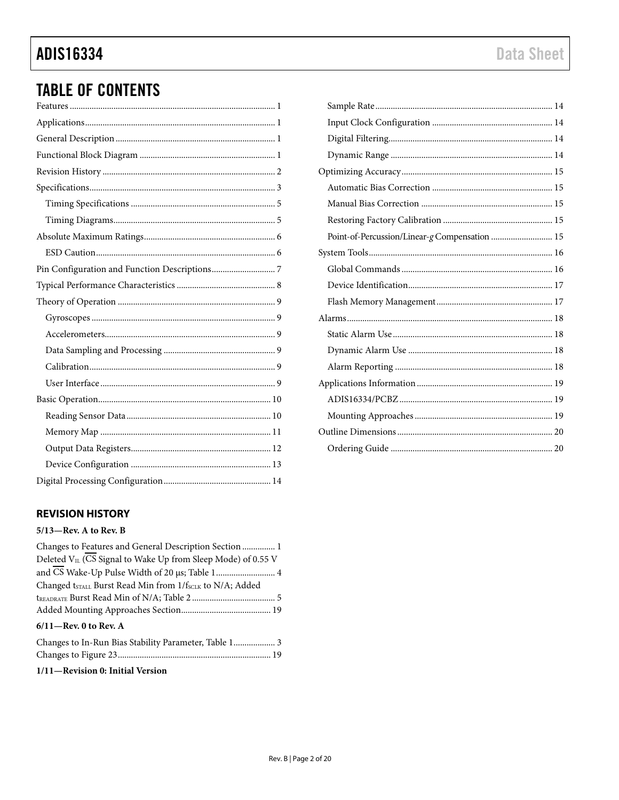# **ADIS16334**

# **TABLE OF CONTENTS**

# Point-of-Percussion/Linear-g Compensation ............................. 15

# <span id="page-1-0"></span>**REVISION HISTORY**

#### $5/13$ -Rev. A to Rev. B

| Changes to Features and General Description Section  1                                                                                                                                |        |
|---------------------------------------------------------------------------------------------------------------------------------------------------------------------------------------|--------|
| Deleted V <sub>II</sub> (CS Signal to Wake Up from Sleep Mode) of 0.55 V                                                                                                              |        |
|                                                                                                                                                                                       |        |
| Changed t <sub>STALL</sub> Burst Read Min from 1/f <sub>SCLK</sub> to N/A; Added                                                                                                      |        |
|                                                                                                                                                                                       |        |
|                                                                                                                                                                                       |        |
| $6/11$ —Rev. 0 to Rev. A                                                                                                                                                              |        |
| $\Omega$ , $\ldots$ $\ldots$ $\Gamma$ $\ldots$ $\Gamma$ $\ldots$ $\Gamma$ $\ldots$ $\Gamma$ $\ldots$ $\Gamma$ $\ldots$ $\Gamma$ $\ldots$ $\Gamma$ $\ldots$ $\Gamma$ $\ldots$ $\Gamma$ | $\sim$ |

| Changes to In-Run bias Stability Parameter, Table T |  |  |
|-----------------------------------------------------|--|--|
|                                                     |  |  |

#### 1/11-Revision 0: Initial Version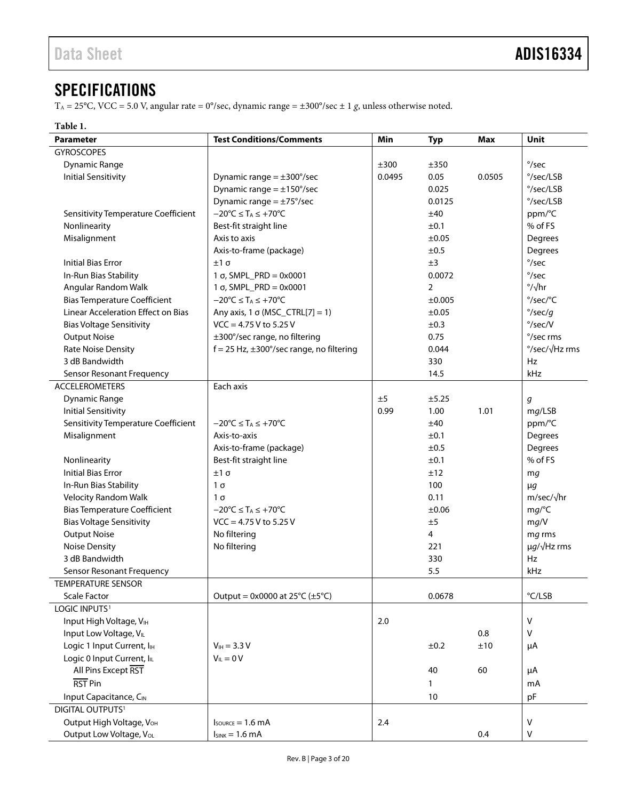# <span id="page-2-0"></span>**SPECIFICATIONS**

T<sub>A</sub> = 25°C, VCC = 5.0 V, angular rate = 0°/sec, dynamic range =  $\pm 300^{\circ}/\text{sec} \pm 1$  g, unless otherwise noted.

### <span id="page-2-1"></span>**Table 1.**

| <b>Parameter</b>                       | <b>Test Conditions/Comments</b>                        | Min    | <b>Typ</b>     | <b>Max</b> | Unit                        |
|----------------------------------------|--------------------------------------------------------|--------|----------------|------------|-----------------------------|
| <b>GYROSCOPES</b>                      |                                                        |        |                |            |                             |
| <b>Dynamic Range</b>                   |                                                        | ±300   | ±350           |            | $\degree$ /sec              |
| <b>Initial Sensitivity</b>             | Dynamic range $= \pm 300^{\circ}/sec$                  | 0.0495 | 0.05           | 0.0505     | °/sec/LSB                   |
|                                        | Dynamic range $= \pm 150^{\circ}/sec$                  |        | 0.025          |            | °/sec/LSB                   |
|                                        | Dynamic range = $\pm$ 75°/sec                          |        | 0.0125         |            | °/sec/LSB                   |
| Sensitivity Temperature Coefficient    | $-20^{\circ}C \leq T_A \leq +70^{\circ}C$              |        | ±40            |            | ppm/°C                      |
| Nonlinearity                           | Best-fit straight line                                 |        | ±0.1           |            | % of FS                     |
| Misalignment                           | Axis to axis                                           |        | ±0.05          |            | Degrees                     |
|                                        | Axis-to-frame (package)                                |        | ±0.5           |            | Degrees                     |
| <b>Initial Bias Error</b>              | $±1\sigma$                                             |        | ±3             |            | $\degree$ /sec              |
| In-Run Bias Stability                  | $1 \sigma$ , SMPL_PRD = 0x0001                         |        | 0.0072         |            | $\degree$ /sec              |
| Angular Random Walk                    | $1 \sigma$ , SMPL_PRD = 0x0001                         |        | $\overline{2}$ |            | $\frac{\circ}{\sqrt{hr}}$   |
| <b>Bias Temperature Coefficient</b>    | $-20^{\circ}C \leq T_A \leq +70^{\circ}C$              |        | $\pm 0.005$    |            | $\degree$ /sec/ $\degree$ C |
| Linear Acceleration Effect on Bias     | Any axis, $1 \sigma$ (MSC_CTRL[7] = 1)                 |        | ±0.05          |            | $\degree$ /sec/g            |
| <b>Bias Voltage Sensitivity</b>        | $VCC = 4.75 V$ to 5.25 V                               |        | ±0.3           |            | $\degree$ /sec/V            |
| <b>Output Noise</b>                    | ±300°/sec range, no filtering                          |        | 0.75           |            | °/sec rms                   |
| Rate Noise Density                     | $f = 25$ Hz, $\pm 300^{\circ}/sec$ range, no filtering |        | 0.044          |            | °/sec/√Hz rms               |
| 3 dB Bandwidth                         |                                                        |        | 330            |            | <b>Hz</b>                   |
| Sensor Resonant Frequency              |                                                        |        | 14.5           |            | kHz                         |
| <b>ACCELEROMETERS</b>                  | Each axis                                              |        |                |            |                             |
| <b>Dynamic Range</b>                   |                                                        | ±5     | ±5.25          |            | g                           |
| <b>Initial Sensitivity</b>             |                                                        | 0.99   | 1.00           | 1.01       | mg/LSB                      |
| Sensitivity Temperature Coefficient    | $-20^{\circ}C \leq T_A \leq +70^{\circ}C$              |        | ±40            |            | ppm/°C                      |
| Misalignment                           | Axis-to-axis                                           |        | ±0.1           |            | Degrees                     |
|                                        | Axis-to-frame (package)                                |        | ±0.5           |            | Degrees                     |
| Nonlinearity                           | Best-fit straight line                                 |        | ±0.1           |            | % of FS                     |
| <b>Initial Bias Error</b>              | $±1\sigma$                                             |        | ±12            |            | mg                          |
| In-Run Bias Stability                  | $1\sigma$                                              |        | 100            |            | $\mu$ g                     |
| <b>Velocity Random Walk</b>            | $1\sigma$                                              |        | 0.11           |            | $m/sec/\sqrt{hr}$           |
| <b>Bias Temperature Coefficient</b>    | $-20^{\circ}C \leq T_A \leq +70^{\circ}C$              |        | $\pm 0.06$     |            | mg/C                        |
| <b>Bias Voltage Sensitivity</b>        | $VCC = 4.75 V$ to 5.25 V                               |        | ±5             |            | mg/V                        |
| <b>Output Noise</b>                    | No filtering                                           |        | $\overline{4}$ |            | mg rms                      |
| <b>Noise Density</b>                   | No filtering                                           |        | 221            |            | $\mu g/\sqrt{Hz}$ rms       |
| 3 dB Bandwidth                         |                                                        |        | 330            |            | Hz                          |
| Sensor Resonant Frequency              |                                                        |        | 5.5            |            | kHz                         |
| TEMPERATURE SENSOR                     |                                                        |        |                |            |                             |
| <b>Scale Factor</b>                    | Output = $0x0000$ at $25^{\circ}C (\pm 5^{\circ}C)$    |        | 0.0678         |            | $\degree$ C/LSB             |
| LOGIC INPUTS <sup>1</sup>              |                                                        |        |                |            |                             |
| Input High Voltage, VIH                |                                                        | 2.0    |                |            | $\vee$                      |
| Input Low Voltage, VL                  |                                                        |        |                | 0.8        | $\vee$                      |
| Logic 1 Input Current, I <sub>IH</sub> | $V_{IH} = 3.3 V$                                       |        | ±0.2           | ±10        | μA                          |
| Logic 0 Input Current, IL              | $V_{IL} = 0 V$                                         |        |                |            |                             |
| All Pins Except RST                    |                                                        |        | 40             | 60         | μA                          |
| RST Pin                                |                                                        |        | 1              |            | mA                          |
| Input Capacitance, CIN                 |                                                        |        | 10             |            | pF                          |
| DIGITAL OUTPUTS <sup>1</sup>           |                                                        |        |                |            |                             |
| Output High Voltage, VOH               | $I_{\text{SOWRCE}} = 1.6 \text{ mA}$                   | 2.4    |                |            | V                           |
| Output Low Voltage, VoL                | $I_{SINK} = 1.6 mA$                                    |        |                | 0.4        | $\mathsf{V}$                |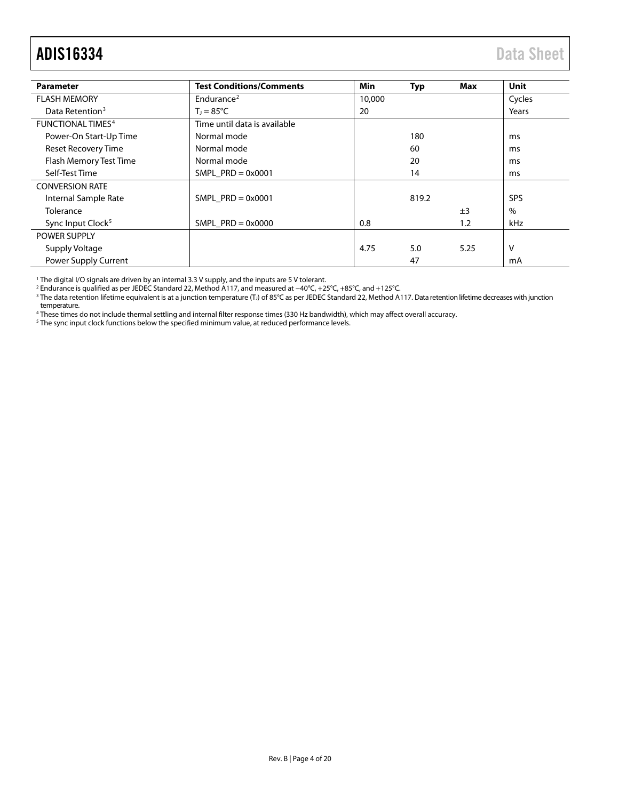# ADIS16334 Data Sheet

| <b>Parameter</b>              | <b>Test Conditions/Comments</b> | Min    | Typ   | Max  | <b>Unit</b> |
|-------------------------------|---------------------------------|--------|-------|------|-------------|
| <b>FLASH MEMORY</b>           | Endurance <sup>2</sup>          | 10,000 |       |      |             |
| Data Retention <sup>3</sup>   | 20<br>$T_1 = 85^{\circ}C$       |        |       |      | Years       |
| <b>FUNCTIONAL TIMES4</b>      | Time until data is available    |        |       |      |             |
| Power-On Start-Up Time        | Normal mode                     |        | 180   |      | ms          |
| Reset Recovery Time           | Normal mode                     |        | 60    |      | ms          |
| Flash Memory Test Time        | Normal mode                     |        | 20    |      | ms          |
| Self-Test Time                | SMPL $PRD = 0 \times 0001$      | 14     |       |      | ms          |
| <b>CONVERSION RATE</b>        |                                 |        |       |      |             |
| Internal Sample Rate          | SMPL $PRD = 0x0001$             |        | 819.2 |      | <b>SPS</b>  |
| Tolerance                     |                                 |        |       | ±3   | $\%$        |
| Sync Input Clock <sup>5</sup> | SMPL $PRD = 0x0000$             | 0.8    |       | 1.2  | kHz         |
| <b>POWER SUPPLY</b>           |                                 |        |       |      |             |
| Supply Voltage                |                                 | 4.75   | 5.0   | 5.25 | ٧           |
| Power Supply Current          |                                 |        | 47    |      | mA          |

<span id="page-3-0"></span><sup>1</sup> The digital I/O signals are driven by an internal 3.3 V supply, and the inputs are 5 V tolerant.

<sup>2</sup> Endurance is qualified as per JEDEC Standard 22, Method A117, and measured at −40°C, +25°C, +85°C, and +125°C.

 $^3$  The data retention lifetime equivalent is at a junction temperature (T,) of 85°C as per JEDEC Standard 22, Method A117. Data retention lifetime decreases with junction temperature.

<sup>4</sup> These times do not include thermal settling and internal filter response times (330 Hz bandwidth), which may affect overall accuracy.

<sup>5</sup> The sync input clock functions below the specified minimum value, at reduced performance levels.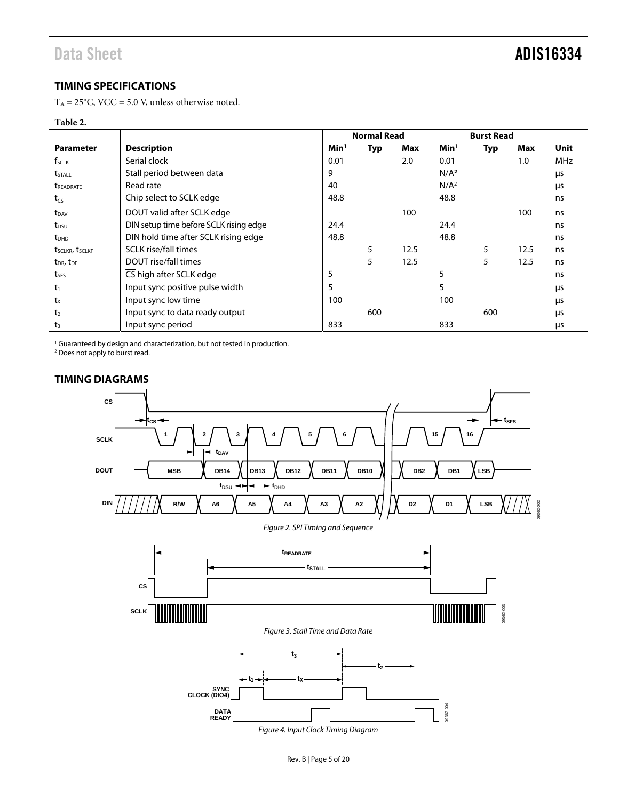09362-002

## <span id="page-4-0"></span>**TIMING SPECIFICATIONS**

 $T_A = 25$ °C, VCC = 5.0 V, unless otherwise noted.

#### <span id="page-4-2"></span>**Table 2.**

|                                   |                                        |                  | <b>Normal Read</b> |      |                  | <b>Burst Read</b> |      |            |
|-----------------------------------|----------------------------------------|------------------|--------------------|------|------------------|-------------------|------|------------|
| <b>Parameter</b>                  | <b>Description</b>                     | Min <sup>1</sup> | Typ                | Max  | Min <sup>1</sup> | Typ               | Max  | Unit       |
| f <sub>SCLK</sub>                 | Serial clock                           | 0.01             |                    | 2.0  | 0.01             |                   | 1.0  | <b>MHz</b> |
| <b>t</b> <sub>STALL</sub>         | Stall period between data              | 9                |                    |      | N/A <sup>2</sup> |                   |      | μs         |
| <b><i>UREADRATE</i></b>           | Read rate                              | 40               |                    |      | N/A <sup>2</sup> |                   |      | μs         |
| $t_{\overline{\text{CS}}}$        | Chip select to SCLK edge               | 48.8             |                    |      | 48.8             |                   |      | ns         |
| t <sub>DAV</sub>                  | DOUT valid after SCLK edge             |                  |                    | 100  |                  |                   | 100  | ns         |
| $t_{DSU}$                         | DIN setup time before SCLK rising edge | 24.4             |                    |      | 24.4             |                   |      | ns         |
| <b>t</b> <sub>DHD</sub>           | DIN hold time after SCLK rising edge   | 48.8             |                    |      | 48.8             |                   |      | ns         |
| tsclkr, tsclkf                    | <b>SCLK</b> rise/fall times            |                  | 5                  | 12.5 |                  | 5                 | 12.5 | ns         |
| t <sub>DR</sub> , t <sub>DF</sub> | DOUT rise/fall times                   |                  | 5                  | 12.5 |                  | 5                 | 12.5 | ns         |
| tses                              | CS high after SCLK edge                | 5                |                    |      | 5                |                   |      | ns         |
| t1                                | Input sync positive pulse width        | 5                |                    |      | 5                |                   |      | μs         |
| $t_{x}$                           | Input sync low time                    | 100              |                    |      | 100              |                   |      | μs         |
| t <sub>2</sub>                    | Input sync to data ready output        |                  | 600                |      |                  | 600               |      | μs         |
| t <sub>3</sub>                    | Input sync period                      | 833              |                    |      | 833              |                   |      | μs         |

1 Guaranteed by design and characterization, but not tested in production. 2 Does not apply to burst read.

<span id="page-4-1"></span>

<span id="page-4-3"></span>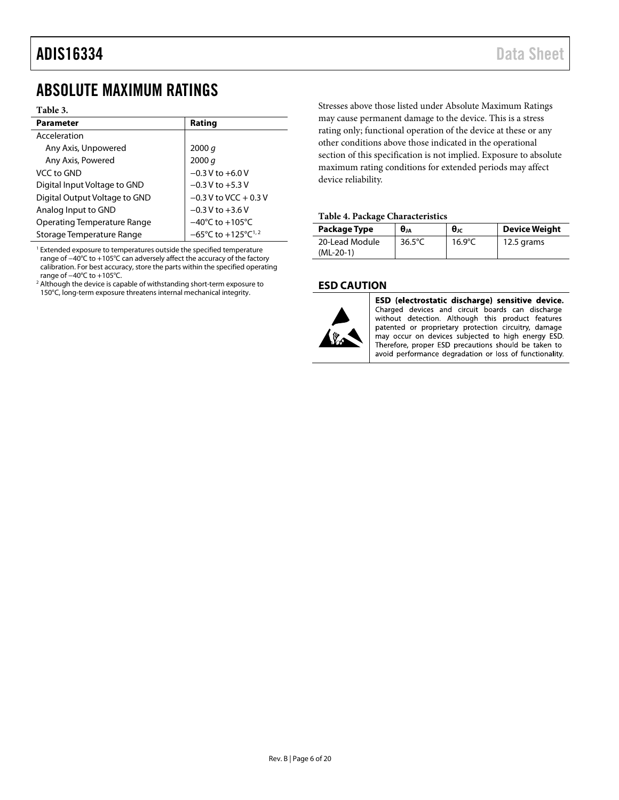# <span id="page-5-0"></span>ABSOLUTE MAXIMUM RATINGS

#### **Table 3.**

| <b>Parameter</b>                   | Rating                                              |
|------------------------------------|-----------------------------------------------------|
| Acceleration                       |                                                     |
| Any Axis, Unpowered                | 2000 $q$                                            |
| Any Axis, Powered                  | 2000 q                                              |
| VCC to GND                         | $-0.3$ V to $+6.0$ V                                |
| Digital Input Voltage to GND       | $-0.3$ V to $+5.3$ V                                |
| Digital Output Voltage to GND      | $-0.3$ V to VCC + 0.3 V                             |
| Analog Input to GND                | $-0.3 V$ to $+3.6 V$                                |
| <b>Operating Temperature Range</b> | $-40^{\circ}$ C to $+105^{\circ}$ C                 |
| Storage Temperature Range          | $-65^{\circ}$ C to +125 $^{\circ}$ C <sup>1,2</sup> |

<sup>1</sup> Extended exposure to temperatures outside the specified temperature range of −40°C to +105°C can adversely affect the accuracy of the factory calibration. For best accuracy, store the parts within the specified operating range of −40°C to +105°C.

<sup>2</sup> Although the device is capable of withstanding short-term exposure to 150°C, long-term exposure threatens internal mechanical integrity.

Stresses above those listed under Absolute Maximum Ratings may cause permanent damage to the device. This is a stress rating only; functional operation of the device at these or any other conditions above those indicated in the operational section of this specification is not implied. Exposure to absolute maximum rating conditions for extended periods may affect device reliability.

#### **Table 4. Package Characteristics**

| Package Type                  | $\theta_{JA}$    | $\theta_{\rm JC}$ | <b>Device Weight</b> |
|-------------------------------|------------------|-------------------|----------------------|
| 20-Lead Module<br>$(ML-20-1)$ | $36.5^{\circ}$ C | $16.9^{\circ}$ C  | 12.5 grams           |

### <span id="page-5-1"></span>**ESD CAUTION**



ESD (electrostatic discharge) sensitive device. Charged devices and circuit boards can discharge without detection. Although this product features patented or proprietary protection circuitry, damage may occur on devices subjected to high energy ESD. Therefore, proper ESD precautions should be taken to avoid performance degradation or loss of functionality.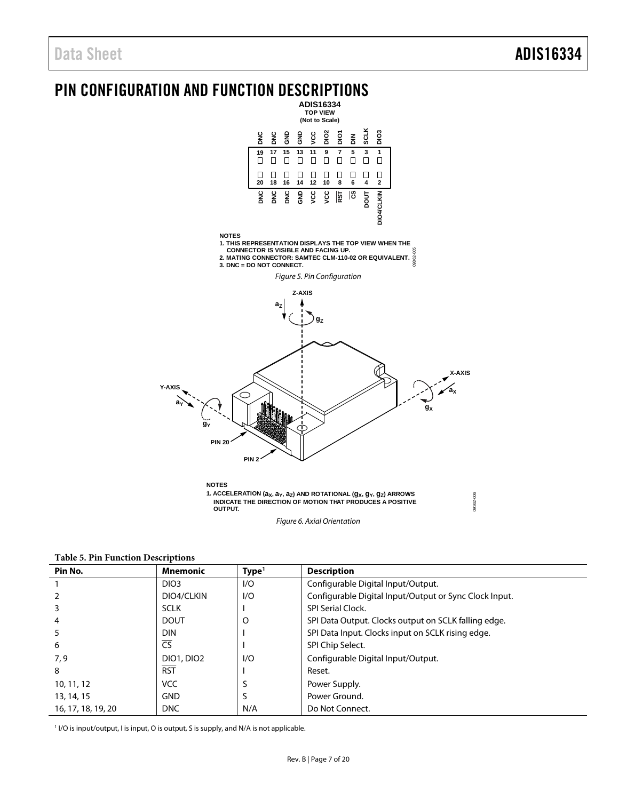<span id="page-6-0"></span>



<span id="page-6-1"></span>**Table 5. Pin Function Descriptions** 

| Pin No.            | <b>Mnemonic</b>   | Type <sup>1</sup> | <b>Description</b>                                     |
|--------------------|-------------------|-------------------|--------------------------------------------------------|
|                    | DIO <sub>3</sub>  | 1/O               | Configurable Digital Input/Output.                     |
|                    | DIO4/CLKIN        | 1/O               | Configurable Digital Input/Output or Sync Clock Input. |
|                    | <b>SCLK</b>       |                   | <b>SPI Serial Clock.</b>                               |
|                    | <b>DOUT</b>       | O                 | SPI Data Output. Clocks output on SCLK falling edge.   |
|                    | <b>DIN</b>        |                   | SPI Data Input. Clocks input on SCLK rising edge.      |
| 6                  | $\overline{CS}$   |                   | SPI Chip Select.                                       |
| 7,9                | <b>DIO1, DIO2</b> | 1/O               | Configurable Digital Input/Output.                     |
| 8                  | <b>RST</b>        |                   | Reset.                                                 |
| 10, 11, 12         | <b>VCC</b>        |                   | Power Supply.                                          |
| 13, 14, 15         | <b>GND</b>        |                   | Power Ground.                                          |
| 16, 17, 18, 19, 20 | <b>DNC</b>        | N/A               | Do Not Connect.                                        |

Figure 6. Axial Orientation

<sup>1</sup> I/O is input/output, I is input, O is output, S is supply, and N/A is not applicable.

 **OUTPUT.**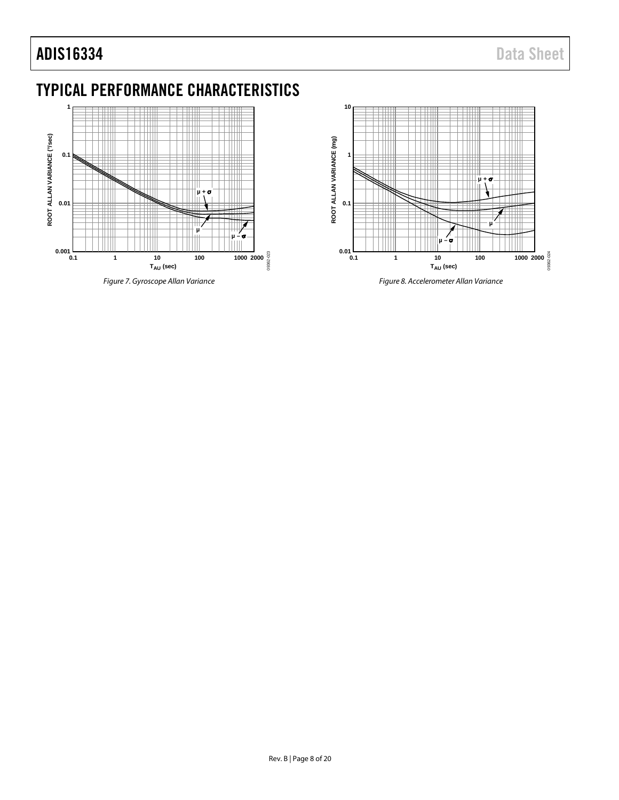# ADIS16334 Data Sheet

# <span id="page-7-0"></span>TYPICAL PERFORMANCE CHARACTERISTICS



<span id="page-7-1"></span>*Figure 7. Gyroscope Allan Variance*



*Figure 8. Accelerometer Allan Variance*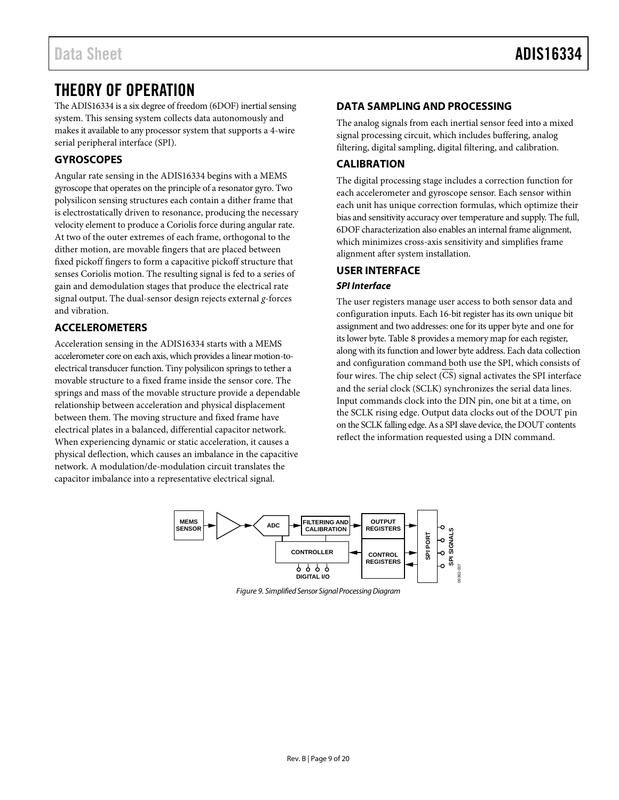# <span id="page-8-0"></span>THEORY OF OPERATION

The ADIS16334 is a six degree of freedom (6DOF) inertial sensing system. This sensing system collects data autonomously and makes it available to any processor system that supports a 4-wire serial peripheral interface (SPI).

# <span id="page-8-1"></span>**GYROSCOPES**

Angular rate sensing in the ADIS16334 begins with a MEMS gyroscope that operates on the principle of a resonator gyro. Two polysilicon sensing structures each contain a dither frame that is electrostatically driven to resonance, producing the necessary velocity element to produce a Coriolis force during angular rate. At two of the outer extremes of each frame, orthogonal to the dither motion, are movable fingers that are placed between fixed pickoff fingers to form a capacitive pickoff structure that senses Coriolis motion. The resulting signal is fed to a series of gain and demodulation stages that produce the electrical rate signal output. The dual-sensor design rejects external *g*-forces and vibration.

# <span id="page-8-2"></span>**ACCELEROMETERS**

Acceleration sensing in the ADIS16334 starts with a MEMS accelerometer core on each axis, which provides a linear motion-toelectrical transducer function. Tiny polysilicon springs to tether a movable structure to a fixed frame inside the sensor core. The springs and mass of the movable structure provide a dependable relationship between acceleration and physical displacement between them. The moving structure and fixed frame have electrical plates in a balanced, differential capacitor network. When experiencing dynamic or static acceleration, it causes a physical deflection, which causes an imbalance in the capacitive network. A modulation/de-modulation circuit translates the capacitor imbalance into a representative electrical signal.

## <span id="page-8-3"></span>**DATA SAMPLING AND PROCESSING**

The analog signals from each inertial sensor feed into a mixed signal processing circuit, which includes buffering, analog filtering, digital sampling, digital filtering, and calibration.

# <span id="page-8-4"></span>**CALIBRATION**

The digital processing stage includes a correction function for each accelerometer and gyroscope sensor. Each sensor within each unit has unique correction formulas, which optimize their bias and sensitivity accuracy over temperature and supply. The full, 6DOF characterization also enables an internal frame alignment, which minimizes cross-axis sensitivity and simplifies frame alignment after system installation.

## <span id="page-8-5"></span>**USER INTERFACE**

### *SPI Interface*

The user registers manage user access to both sensor data and configuration inputs. Each 16-bit register has its own unique bit assignment and two addresses: one for its upper byte and one for its lower byte[. Table 8](#page-10-1) provides a memory map for each register, along with its function and lower byte address. Each data collection and configuration command both use the SPI, which consists of four wires. The chip select (CS) signal activates the SPI interface and the serial clock (SCLK) synchronizes the serial data lines. Input commands clock into the DIN pin, one bit at a time, on the SCLK rising edge. Output data clocks out of the DOUT pin on the SCLK falling edge. As a SPI slave device, the DOUT contents reflect the information requested using a DIN command.



*Figure 9. Simplified Sensor Signal Processing Diagram*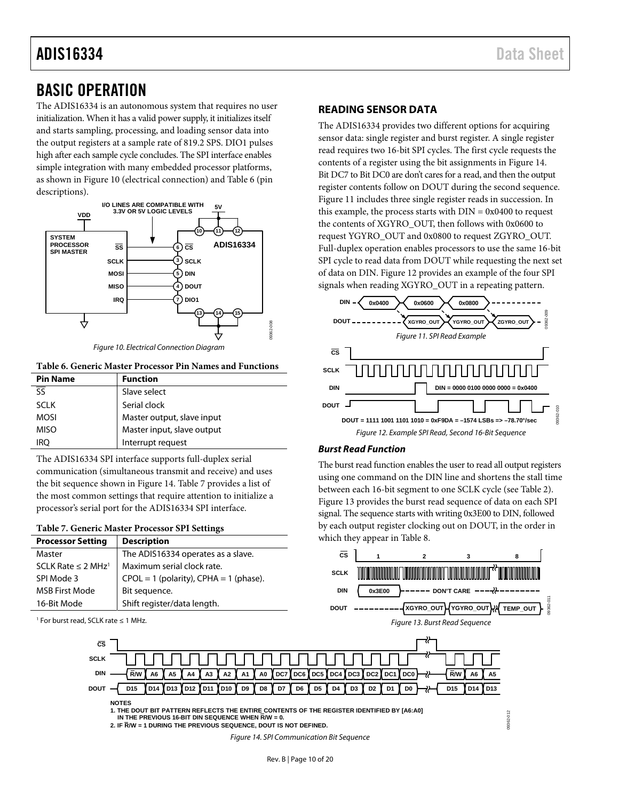# ADIS16334 Data Sheet

# <span id="page-9-0"></span>BASIC OPERATION

The ADIS16334 is an autonomous system that requires no user initialization. When it has a valid power supply, it initializes itself and starts sampling, processing, and loading sensor data into the output registers at a sample rate of 819.2 SPS. DIO1 pulses high after each sample cycle concludes. The SPI interface enables simple integration with many embedded processor platforms, as shown i[n Figure 10 \(](#page-9-2)electrical connection) and [Table 6 \(](#page-9-3)pin descriptions).



Figure 10. Electrical Connection Diagram

<span id="page-9-3"></span><span id="page-9-2"></span>**Table 6. Generic Master Processor Pin Names and Functions** 

| <b>Pin Name</b> | <b>Function</b>            |
|-----------------|----------------------------|
| डड              | Slave select               |
| <b>SCLK</b>     | Serial clock               |
| <b>MOSI</b>     | Master output, slave input |
| <b>MISO</b>     | Master input, slave output |
| iro             | Interrupt request          |

The ADIS16334 SPI interface supports full-duplex serial communication (simultaneous transmit and receive) and uses the bit sequence shown in [Figure 14.](#page-9-4) [Table 7](#page-9-5) provides a list of the most common settings that require attention to initialize a processor's serial port for the ADIS16334 SPI interface.

<span id="page-9-5"></span>

| <b>Processor Setting</b>            | <b>Description</b>                         |
|-------------------------------------|--------------------------------------------|
| Master                              | The ADIS16334 operates as a slave.         |
| SCLK Rate $\leq$ 2 MHz <sup>1</sup> | Maximum serial clock rate.                 |
| SPI Mode 3                          | $CPOL = 1$ (polarity), $CPHA = 1$ (phase). |
| <b>MSB First Mode</b>               | Bit sequence.                              |
| 16-Bit Mode                         | Shift register/data length.                |



**CS SCLK DIN DOUT**

**NOTES**

1 For burst read, SCLK rate ≤ 1 MHz.

<span id="page-9-1"></span>**READING SENSOR DATA**  The ADIS16334 provides two different options for acquiring

sensor data: single register and burst register. A single register read requires two 16-bit SPI cycles. The first cycle requests the contents of a register using the bit assignments i[n Figure 14.](#page-9-4) Bit DC7 to Bit DC0 are don't cares for a read, and then the output register contents follow on DOUT during the second sequence. [Figure 11 i](#page-9-6)ncludes three single register reads in succession. In this example, the process starts with  $DIN = 0x0400$  to request the contents of XGYRO\_OUT, then follows with 0x0600 to request YGYRO\_OUT and 0x0800 to request ZGYRO\_OUT. Full-duplex operation enables processors to use the same 16-bit SPI cycle to read data from DOUT while requesting the next set of data on DIN[. Figure 12](#page-9-7) provides an example of the four SPI signals when reading XGYRO\_OUT in a repeating pattern.

<span id="page-9-6"></span>

### <span id="page-9-7"></span>**Burst Read Function**

The burst read function enables the user to read all output registers using one command on the DIN line and shortens the stall time between each 16-bit segment to one SCLK cycle (se[e Table 2\)](#page-4-2). [Figure 13 p](#page-9-8)rovides the burst read sequence of data on each SPI signal. The sequence starts with writing 0x3E00 to DIN, followed by each output register clocking out on DOUT, in the order in which they appear i[n Table 8.](#page-10-1) 



<span id="page-9-4"></span>**2. IF R/W = 1 DURING THE PREVIOUS SEQUENCE, DOUT IS NOT DEFINED.**

<span id="page-9-8"></span>Figure 14. SPI Communication Bit Sequence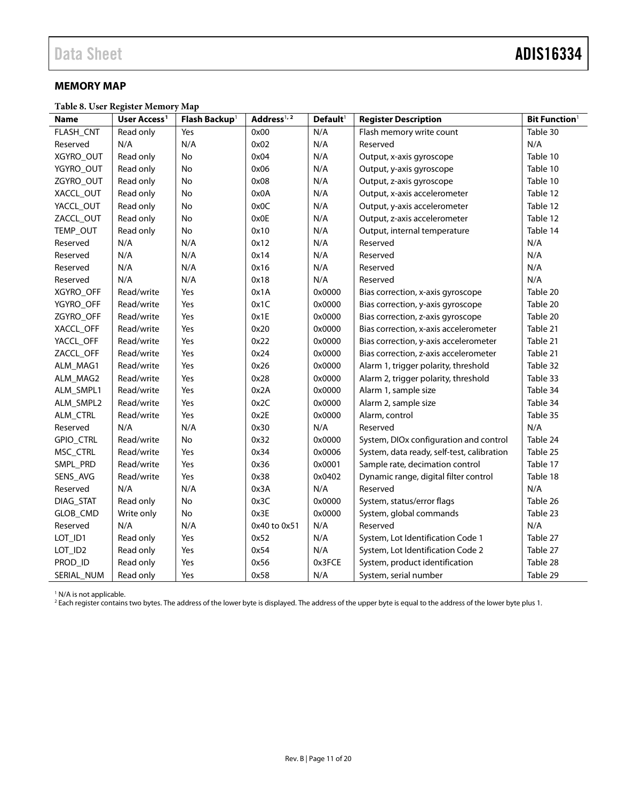## <span id="page-10-0"></span>**MEMORY MAP**

<span id="page-10-1"></span>**Table 8. User Register Memory Map**

| <b>Name</b> | User Access <sup>1</sup> | Flash Backup <sup>1</sup> | Address <sup>1, 2</sup> | Default <sup>1</sup> | <b>Register Description</b>                | <b>Bit Function</b> <sup>1</sup> |
|-------------|--------------------------|---------------------------|-------------------------|----------------------|--------------------------------------------|----------------------------------|
| FLASH_CNT   | Read only                | Yes                       | 0x00                    | N/A                  | Flash memory write count                   | Table 30                         |
| Reserved    | N/A                      | N/A                       | 0x02                    | N/A                  | Reserved                                   | N/A                              |
| XGYRO_OUT   | Read only                | No                        | 0x04                    | N/A                  | Output, x-axis gyroscope                   | Table 10                         |
| YGYRO_OUT   | Read only                | No                        | 0x06                    | N/A                  | Output, y-axis gyroscope                   | Table 10                         |
| ZGYRO_OUT   | Read only                | No                        | 0x08                    | N/A                  | Output, z-axis gyroscope                   | Table 10                         |
| XACCL_OUT   | Read only                | No                        | 0x0A                    | N/A                  | Output, x-axis accelerometer               | Table 12                         |
| YACCL OUT   | Read only                | No                        | 0x0C                    | N/A                  | Output, y-axis accelerometer               | Table 12                         |
| ZACCL_OUT   | Read only                | No                        | 0x0E                    | N/A                  | Output, z-axis accelerometer               | Table 12                         |
| TEMP_OUT    | Read only                | No                        | 0x10                    | N/A                  | Output, internal temperature               | Table 14                         |
| Reserved    | N/A                      | N/A                       | 0x12                    | N/A                  | Reserved                                   | N/A                              |
| Reserved    | N/A                      | N/A                       | 0x14                    | N/A                  | Reserved                                   | N/A                              |
| Reserved    | N/A                      | N/A                       | 0x16                    | N/A                  | Reserved                                   | N/A                              |
| Reserved    | N/A                      | N/A                       | 0x18                    | N/A                  | Reserved                                   | N/A                              |
| XGYRO_OFF   | Read/write               | Yes                       | 0x1A                    | 0x0000               | Bias correction, x-axis gyroscope          | Table 20                         |
| YGYRO_OFF   | Read/write               | Yes                       | 0x1C                    | 0x0000               | Bias correction, y-axis gyroscope          | Table 20                         |
| ZGYRO_OFF   | Read/write               | Yes                       | 0x1E                    | 0x0000               | Bias correction, z-axis gyroscope          | Table 20                         |
| XACCL_OFF   | Read/write               | Yes                       | 0x20                    | 0x0000               | Bias correction, x-axis accelerometer      | Table 21                         |
| YACCL_OFF   | Read/write               | Yes                       | 0x22                    | 0x0000               | Bias correction, y-axis accelerometer      | Table 21                         |
| ZACCL_OFF   | Read/write               | Yes                       | 0x24                    | 0x0000               | Bias correction, z-axis accelerometer      | Table 21                         |
| ALM_MAG1    | Read/write               | Yes                       | 0x26                    | 0x0000               | Alarm 1, trigger polarity, threshold       | Table 32                         |
| ALM_MAG2    | Read/write               | Yes                       | 0x28                    | 0x0000               | Alarm 2, trigger polarity, threshold       | Table 33                         |
| ALM_SMPL1   | Read/write               | Yes                       | 0x2A                    | 0x0000               | Alarm 1, sample size                       | Table 34                         |
| ALM_SMPL2   | Read/write               | Yes                       | 0x2C                    | 0x0000               | Alarm 2, sample size                       | Table 34                         |
| ALM_CTRL    | Read/write               | Yes                       | 0x2E                    | 0x0000               | Alarm, control                             | Table 35                         |
| Reserved    | N/A                      | N/A                       | 0x30                    | N/A                  | Reserved                                   | N/A                              |
| GPIO_CTRL   | Read/write               | No                        | 0x32                    | 0x0000               | System, DIOx configuration and control     | Table 24                         |
| MSC CTRL    | Read/write               | Yes                       | 0x34                    | 0x0006               | System, data ready, self-test, calibration | Table 25                         |
| SMPL_PRD    | Read/write               | Yes                       | 0x36                    | 0x0001               | Sample rate, decimation control            | Table 17                         |
| SENS_AVG    | Read/write               | Yes                       | 0x38                    | 0x0402               | Dynamic range, digital filter control      | Table 18                         |
| Reserved    | N/A                      | N/A                       | 0x3A                    | N/A                  | Reserved                                   | N/A                              |
| DIAG_STAT   | Read only                | No                        | 0x3C                    | 0x0000               | System, status/error flags                 | Table 26                         |
| GLOB_CMD    | Write only               | $\mathsf{No}$             | 0x3E                    | 0x0000               | System, global commands                    | Table 23                         |
| Reserved    | N/A                      | N/A                       | 0x40 to 0x51            | N/A                  | Reserved                                   | N/A                              |
| LOT_ID1     | Read only                | Yes                       | 0x52                    | N/A                  | System, Lot Identification Code 1          | Table 27                         |
| LOT_ID2     | Read only                | Yes                       | 0x54                    | N/A                  | System, Lot Identification Code 2          | Table 27                         |
| PROD_ID     | Read only                | Yes                       | 0x56                    | 0x3FCE               | System, product identification             | Table 28                         |
| SERIAL_NUM  | Read only                | Yes                       | 0x58                    | N/A                  | System, serial number                      | Table 29                         |

<sup>1</sup> N/A is not applicable.

<sup>2</sup> Each register contains two bytes. The address of the lower byte is displayed. The address of the upper byte is equal to the address of the lower byte plus 1.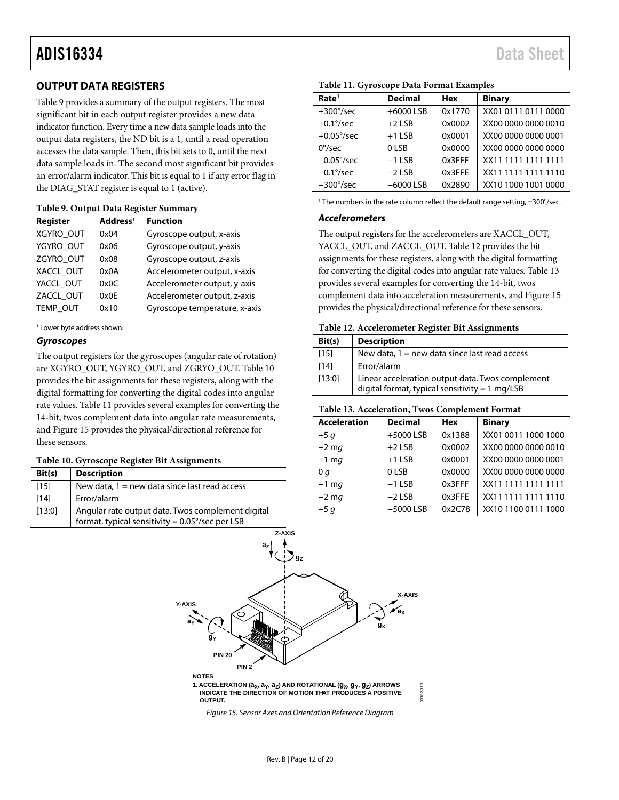# <span id="page-11-0"></span>**OUTPUT DATA REGISTERS**

[Table 9 p](#page-11-3)rovides a summary of the output registers. The most significant bit in each output register provides a new data indicator function. Every time a new data sample loads into the output data registers, the ND bit is a 1, until a read operation accesses the data sample. Then, this bit sets to 0, until the next data sample loads in. The second most significant bit provides an error/alarm indicator. This bit is equal to 1 if any error flag in the DIAG\_STAT register is equal to 1 (active).

| Register        | Address <sup>1</sup> | <b>Function</b>               |
|-----------------|----------------------|-------------------------------|
| XGYRO_OUT       | 0x04                 | Gyroscope output, x-axis      |
| YGYRO_OUT       | 0x06                 | Gyroscope output, y-axis      |
| ZGYRO OUT       | 0x08                 | Gyroscope output, z-axis      |
| XACCL OUT       | 0x0A                 | Accelerometer output, x-axis  |
| YACCL OUT       | 0x0C                 | Accelerometer output, y-axis  |
| ZACCL OUT       | 0x0F                 | Accelerometer output, z-axis  |
| <b>TEMP OUT</b> | 0x10                 | Gyroscope temperature, x-axis |

#### <span id="page-11-3"></span>**Table 9. Output Data Register Summary**

1 Lower byte address shown.

#### **Gyroscopes**

The output registers for the gyroscopes (angular rate of rotation) are XGYRO\_OUT, YGYRO\_OUT, and ZGRYO\_OUT[. Table 10](#page-11-1)  provides the bit assignments for these registers, along with the digital formatting for converting the digital codes into angular rate values[. Table 11 p](#page-11-4)rovides several examples for converting the 14-bit, twos complement data into angular rate measurements, an[d Figure 15](#page-11-5) provides the physical/directional reference for these sensors.

#### <span id="page-11-1"></span>**Table 10. Gyroscope Register Bit Assignments**

| Bit(s) | <b>Description</b>                                                                                            |
|--------|---------------------------------------------------------------------------------------------------------------|
| [15]   | New data, $1 = new$ data since last read access                                                               |
| [14]   | Error/alarm                                                                                                   |
| [13:0] | Angular rate output data. Twos complement digital<br>format, typical sensitivity = $0.05^{\circ}/sec$ per LSB |

| Rate <sup>1</sup>   | <b>Decimal</b> | Hex    | <b>Binary</b>       |  |  |
|---------------------|----------------|--------|---------------------|--|--|
| $+300^{\circ}/sec$  | $+6000$ LSB    | 0x1770 | XX01 0111 0111 0000 |  |  |
| $+0.1\degree$ /sec  | $+2$ LSB       | 0x0002 | XX00 0000 0000 0010 |  |  |
| $+0.05^{\circ}/sec$ | $+1$ LSB       | 0x0001 | XX00 0000 0000 0001 |  |  |
| $0^{\circ}/sec$     | 0LSB           | 0x0000 | XX00 0000 0000 0000 |  |  |
| $-0.05^{\circ}/sec$ | $-1$ LSB       | 0x3FFF | XX11 1111 1111 1111 |  |  |
| $-0.1\degree$ /sec  | $-2$ LSB       | 0x3FFE | XX11 1111 1111 1110 |  |  |
| $-300^{\circ}/sec$  | $-6000$ LSB    | 0x2890 | XX10 1000 1001 0000 |  |  |

#### <span id="page-11-4"></span>**Table 11. Gyroscope Data Format Examples**

<sup>1</sup> The numbers in the rate column reflect the default range setting, ±300°/sec.

#### **Accelerometers**

The output registers for the accelerometers are XACCL\_OUT, YACCL\_OUT, and ZACCL\_OUT. [Table 12 p](#page-11-2)rovides the bit assignments for these registers, along with the digital formatting for converting the digital codes into angular rate values. [Table 13](#page-11-6)  provides several examples for converting the 14-bit, twos complement data into acceleration measurements, an[d Figure 15](#page-11-5)  provides the physical/directional reference for these sensors.

#### <span id="page-11-2"></span>**Table 12. Accelerometer Register Bit Assignments**

| Bit(s) | <b>Description</b>                                                                                           |
|--------|--------------------------------------------------------------------------------------------------------------|
| $[15]$ | New data, $1 = new$ data since last read access                                                              |
| $[14]$ | Error/alarm                                                                                                  |
| [13:0] | Linear acceleration output data. Twos complement<br>digital format, typical sensitivity = $1 \text{ mg/LSB}$ |

#### <span id="page-11-6"></span>**Table 13. Acceleration, Twos Complement Format**

| <b>Acceleration</b> | <b>Decimal</b> | <b>Hex</b> | <b>Binary</b>       |
|---------------------|----------------|------------|---------------------|
| $+5q$               | $+5000$ LSB    | 0x1388     | XX01 0011 1000 1000 |
| $+2$ mg             | $+2$ LSB       | 0x0002     | XX00 0000 0000 0010 |
| $+1$ mg             | $+1$ LSB       | 0x0001     | XX00 0000 0000 0001 |
| 0q                  | 0LSB           | 0x0000     | XX00 0000 0000 0000 |
| $-1$ mg             | $-1$ LSB       | 0x3FFF     | XX11 1111 1111 1111 |
| $-2$ mg             | $-2$ LSB       | 0x3FFE     | XX11 1111 1111 1110 |
| $-5q$               | $-5000$ LSB    | 0x2C78     | XX10 1100 0111 1000 |

<span id="page-11-5"></span>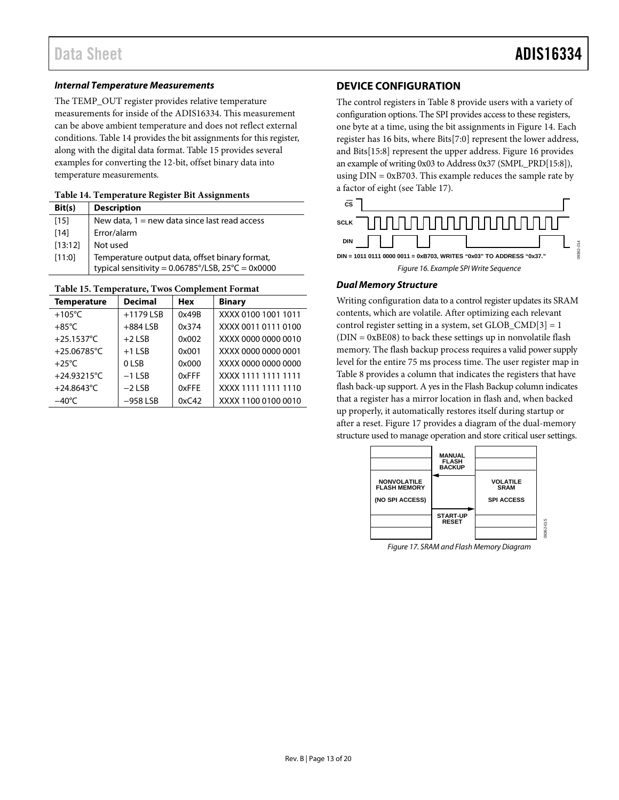### *Internal Temperature Measurements*

The TEMP\_OUT register provides relative temperature measurements for inside of the ADIS16334. This measurement can be above ambient temperature and does not reflect external conditions. [Table 14](#page-12-1) provides the bit assignments for this register, along with the digital data format. [Table 15](#page-12-2) provides several examples for converting the 12-bit, offset binary data into temperature measurements.

#### <span id="page-12-1"></span>**Table 14. Temperature Register Bit Assignments**

| Bit(s)  | <b>Description</b>                                                                                                     |
|---------|------------------------------------------------------------------------------------------------------------------------|
| $[15]$  | New data, $1 = new$ data since last read access                                                                        |
| $[14]$  | Error/alarm                                                                                                            |
| [13:12] | Not used                                                                                                               |
| [11:0]  | Temperature output data, offset binary format,<br>typical sensitivity = $0.06785^{\circ}/LSB$ , $25^{\circ}C = 0x0000$ |
|         |                                                                                                                        |

#### <span id="page-12-2"></span>**Table 15. Temperature, Twos Complement Format**

| <b>Temperature</b> | <b>Decimal</b> | <b>Hex</b> | <b>Binary</b>       |
|--------------------|----------------|------------|---------------------|
| $+105^{\circ}$ C   | $+1179$ LSB    | 0x49B      | XXXX 0100 1001 1011 |
| $+85^{\circ}$ C    | $+884$ LSB     | 0x374      | XXXX 0011 0111 0100 |
| +25.1537 $°C$      | $+2$ ISB       | 0x002      | XXXX 0000 0000 0010 |
| +25.06785°C        | $+1$ ISB       | 0x001      | XXXX 0000 0000 0001 |
| $+25^{\circ}$ C    | 0 LSB          | 0x000      | XXXX 0000 0000 0000 |
| +24.93215°C        | $-1$ ISB       | 0xFFF      | XXXX 1111 1111 1111 |
| +24.8643°C         | $-2$ LSB       | 0xFFF      | XXXX 1111 1111 1110 |
| $-40^{\circ}$ C    | $-958$ LSB     | 0xC42      | XXXX 1100 0100 0010 |

## <span id="page-12-0"></span>**DEVICE CONFIGURATION**

The control registers i[n Table 8](#page-10-1) provide users with a variety of configuration options. The SPI provides access to these registers, one byte at a time, using the bit assignments i[n Figure 14.](#page-9-4) Each register has 16 bits, where Bits[7:0] represent the lower address, and Bits[15:8] represent the upper address[. Figure 16](#page-12-3) provides an example of writing 0x03 to Address 0x37 (SMPL\_PRD[15:8]), using  $DIN = 0xB703$ . This example reduces the sample rate by a factor of eight (se[e Table 17\)](#page-13-5).



#### <span id="page-12-3"></span>*Dual Memory Structure*

Writing configuration data to a control register updates its SRAM contents, which are volatile. After optimizing each relevant control register setting in a system, set GLOB  $\text{CMD}[3] = 1$  $(DIN = 0xBE08)$  to back these settings up in nonvolatile flash memory. The flash backup process requires a valid power supply level for the entire 75 ms process time. The user register map in [Table 8](#page-10-1) provides a column that indicates the registers that have flash back-up support. A yes in the Flash Backup column indicates that a register has a mirror location in flash and, when backed up properly, it automatically restores itself during startup or after a reset. [Figure 17](#page-12-4) provides a diagram of the dual-memory structure used to manage operation and store critical user settings.



<span id="page-12-4"></span>*Figure 17. SRAM and Flash Memory Diagram*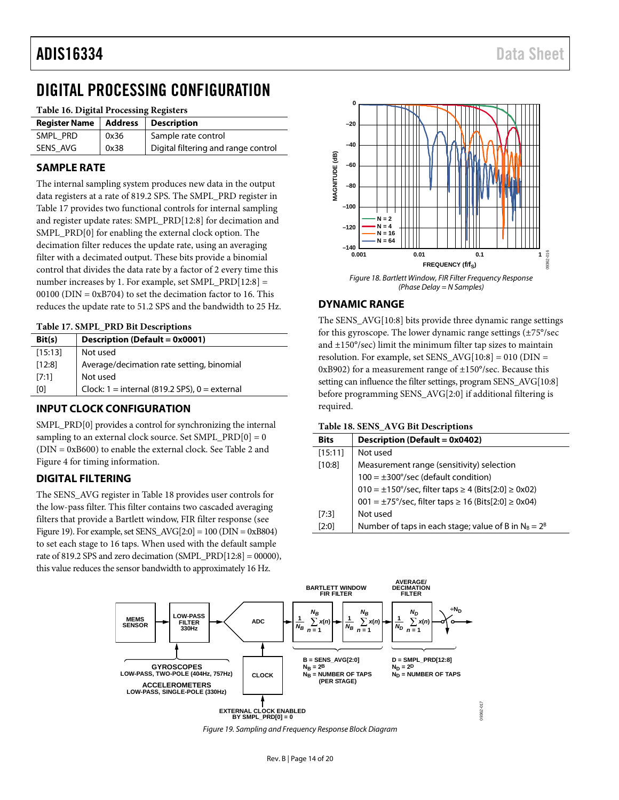# <span id="page-13-0"></span>DIGITAL PROCESSING CONFIGURATION

#### **Table 16. Digital Processing Registers**

| <b>Register Name</b> | Address | Description                         |
|----------------------|---------|-------------------------------------|
| SMPL PRD             | 0x36    | Sample rate control                 |
| SENS AVG             | 0x38    | Digital filtering and range control |

## <span id="page-13-1"></span>**SAMPLE RATE**

The internal sampling system produces new data in the output data registers at a rate of 819.2 SPS. The SMPL\_PRD register in [Table 17](#page-13-5) provides two functional controls for internal sampling and register update rates: SMPL\_PRD[12:8] for decimation and SMPL\_PRD[0] for enabling the external clock option. The decimation filter reduces the update rate, using an averaging filter with a decimated output. These bits provide a binomial control that divides the data rate by a factor of 2 every time this number increases by 1. For example, set SMPL\_PRD[12:8] = 00100 ( $\text{DIN} = 0 \text{xB} 704$ ) to set the decimation factor to 16. This reduces the update rate to 51.2 SPS and the bandwidth to 25 Hz.

#### <span id="page-13-5"></span>**Table 17. SMPL\_PRD Bit Descriptions**

| Bit(s)  | Description (Default = 0x0001)                    |
|---------|---------------------------------------------------|
| [15:13] | Not used                                          |
| [12:8]  | Average/decimation rate setting, binomial         |
| [7:1]   | Not used                                          |
| [0]     | Clock: $1 =$ internal (819.2 SPS), $0 =$ external |
|         |                                                   |

## <span id="page-13-2"></span>**INPUT CLOCK CONFIGURATION**

SMPL\_PRD[0] provides a control for synchronizing the internal sampling to an external clock source. Set SMPL\_PRD $[0] = 0$ (DIN = 0xB600) to enable the external clock. See [Table 2](#page-4-2) and [Figure 4](#page-4-3) for timing information.

## <span id="page-13-3"></span>**DIGITAL FILTERING**

The SENS\_AVG register i[n Table 18](#page-13-6) provides user controls for the low-pass filter. This filter contains two cascaded averaging filters that provide a Bartlett window, FIR filter response (see [Figure 19\)](#page-13-7). For example, set SENS\_AVG[2:0] = 100 (DIN = 0xB804) to set each stage to 16 taps. When used with the default sample rate of 819.2 SPS and zero decimation (SMPL\_PRD[12:8] = 00000), this value reduces the sensor bandwidth to approximately 16 Hz.



*Figure 18. Bartlett Window, FIR Filter Frequency Response (Phase Delay = N Samples)*

## <span id="page-13-4"></span>**DYNAMIC RANGE**

The SENS\_AVG[10:8] bits provide three dynamic range settings for this gyroscope. The lower dynamic range settings (±75°/sec and ±150°/sec) limit the minimum filter tap sizes to maintain resolution. For example, set SENS\_AVG[10:8] = 010 (DIN = 0xB902) for a measurement range of ±150°/sec. Because this setting can influence the filter settings, program SENS\_AVG[10:8] before programming SENS\_AVG[2:0] if additional filtering is required.

<span id="page-13-6"></span>

| Table 18. SENS_AVG Bit Descriptions |  |  |
|-------------------------------------|--|--|
|-------------------------------------|--|--|

| <b>Bits</b> | Description (Default = 0x0402)                                                     |
|-------------|------------------------------------------------------------------------------------|
| [15:11]     | Not used                                                                           |
| [10:8]      | Measurement range (sensitivity) selection                                          |
|             | $100 = \pm 300^{\circ}/sec$ (default condition)                                    |
|             | $010 = ±150^{\circ}/sec$ , filter taps ≥ 4 (Bits[2:0] ≥ 0x02)                      |
|             | $001 = \pm 75^{\circ}/\text{sec}$ , filter taps $\geq 16$ (Bits[2:0] $\geq 0x04$ ) |
| [7:3]       | Not used                                                                           |
| [2:0]       | Number of taps in each stage; value of B in $N_B = 2^B$                            |

<span id="page-13-7"></span>

*Figure 19. Sampling and Frequency Response Block Diagram*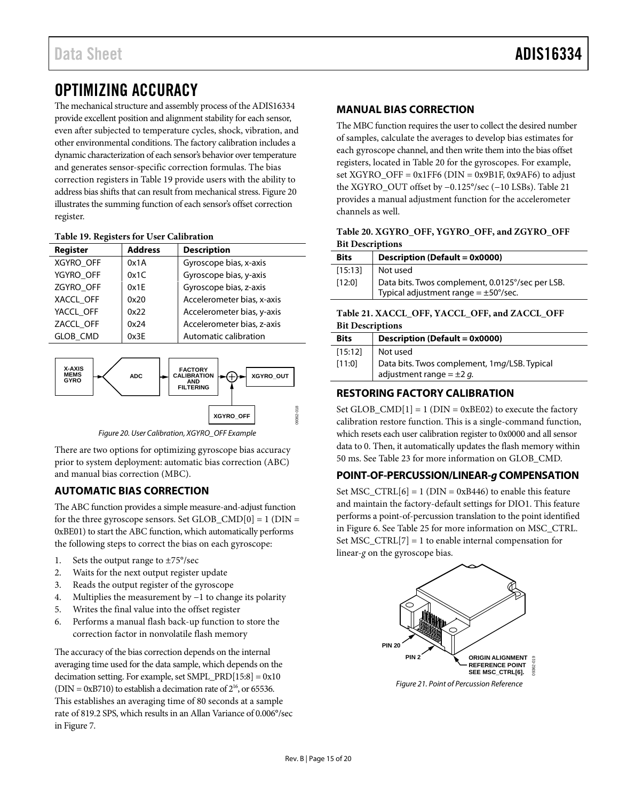# <span id="page-14-0"></span>OPTIMIZING ACCURACY

The mechanical structure and assembly process of the ADIS16334 provide excellent position and alignment stability for each sensor, even after subjected to temperature cycles, shock, vibration, and other environmental conditions. The factory calibration includes a dynamic characterization of each sensor's behavior over temperature and generates sensor-specific correction formulas. The bias correction registers i[n Table 19](#page-14-7) provide users with the ability to address bias shifts that can result from mechanical stress[. Figure 20](#page-14-8) illustrates the summing function of each sensor's offset correction register.

### <span id="page-14-7"></span>**Table 19. Registers for User Calibration**

| <b>Register</b> | <b>Address</b> | <b>Description</b>         |
|-----------------|----------------|----------------------------|
| XGYRO_OFF       | 0x1A           | Gyroscope bias, x-axis     |
| YGYRO_OFF       | 0x1C           | Gyroscope bias, y-axis     |
| ZGYRO_OFF       | 0x1E           | Gyroscope bias, z-axis     |
| XACCL OFF       | 0x20           | Accelerometer bias, x-axis |
| YACCL OFF       | 0x22           | Accelerometer bias, y-axis |
| ZACCL OFF       | 0x24           | Accelerometer bias, z-axis |
| <b>GLOB CMD</b> | 0x3F           | Automatic calibration      |



*Figure 20. User Calibration, XGYRO\_OFF Example*

<span id="page-14-8"></span>There are two options for optimizing gyroscope bias accuracy prior to system deployment: automatic bias correction (ABC) and manual bias correction (MBC).

# <span id="page-14-1"></span>**AUTOMATIC BIAS CORRECTION**

The ABC function provides a simple measure-and-adjust function for the three gyroscope sensors. Set GLOB\_CMD[0] = 1 (DIN = 0xBE01) to start the ABC function, which automatically performs the following steps to correct the bias on each gyroscope:

- 1. Sets the output range to ±75°/sec
- 2. Waits for the next output register update
- 3. Reads the output register of the gyroscope
- 4. Multiplies the measurement by −1 to change its polarity
- 5. Writes the final value into the offset register
- 6. Performs a manual flash back-up function to store the correction factor in nonvolatile flash memory

The accuracy of the bias correction depends on the internal averaging time used for the data sample, which depends on the decimation setting. For example, set SMPL\_PRD[15:8] = 0x10 (DIN =  $0xB710$ ) to establish a decimation rate of  $2^{16}$ , or 65536. This establishes an averaging time of 80 seconds at a sample rate of 819.2 SPS, which results in an Allan Variance of 0.006°/sec in [Figure 7.](#page-7-1)

## <span id="page-14-2"></span>**MANUAL BIAS CORRECTION**

The MBC function requires the user to collect the desired number of samples, calculate the averages to develop bias estimates for each gyroscope channel, and then write them into the bias offset registers, located i[n Table 20](#page-14-5) for the gyroscopes. For example, set XGYRO\_OFF =  $0x1FF6$  (DIN =  $0x9B1F$ ,  $0x9AF6$ ) to adjust the XGYRO\_OUT offset by −0.125°/sec (−10 LSBs)[. Table 21](#page-14-6) provides a manual adjustment function for the accelerometer channels as well.

### <span id="page-14-5"></span>**Table 20. XGYRO\_OFF, YGYRO\_OFF, and ZGYRO\_OFF Bit Descriptions**

| <b>Bits</b> | <b>Description (Default = 0x0000)</b>            |  |
|-------------|--------------------------------------------------|--|
| [15:13]     | Not used                                         |  |
| [12:0]      | Data bits. Twos complement, 0.0125°/sec per LSB. |  |
|             | Typical adjustment range = $\pm$ 50°/sec.        |  |

### <span id="page-14-6"></span>**Table 21. XACCL\_OFF, YACCL\_OFF, and ZACCL\_OFF Bit Descriptions**

| <b>Bits</b> | Description (Default = 0x0000)                                                |
|-------------|-------------------------------------------------------------------------------|
| [15:12]     | Not used                                                                      |
| [11:0]      | Data bits. Twos complement, 1mg/LSB. Typical<br>adjustment range = $\pm 2$ g. |

## <span id="page-14-3"></span>**RESTORING FACTORY CALIBRATION**

Set GLOB\_CMD $[1] = 1$  (DIN = 0xBE02) to execute the factory calibration restore function. This is a single-command function, which resets each user calibration register to 0x0000 and all sensor data to 0. Then, it automatically updates the flash memory within 50 ms. Se[e Table 23](#page-15-4) for more information on GLOB\_CMD.

## <span id="page-14-4"></span>**POINT-OF-PERCUSSION/LINEAR-***g* **COMPENSATION**

Set MSC\_CTRL $[6] = 1$  (DIN = 0xB446) to enable this feature and maintain the factory-default settings for DIO1. This feature performs a point-of-percussion translation to the point identified in [Figure 6.](#page-6-1) See [Table 25](#page-15-3) for more information on MSC\_CTRL. Set MSC\_CTRL $[7] = 1$  to enable internal compensation for linear-*g* on the gyroscope bias.



*Figure 21. Point of Percussion Reference*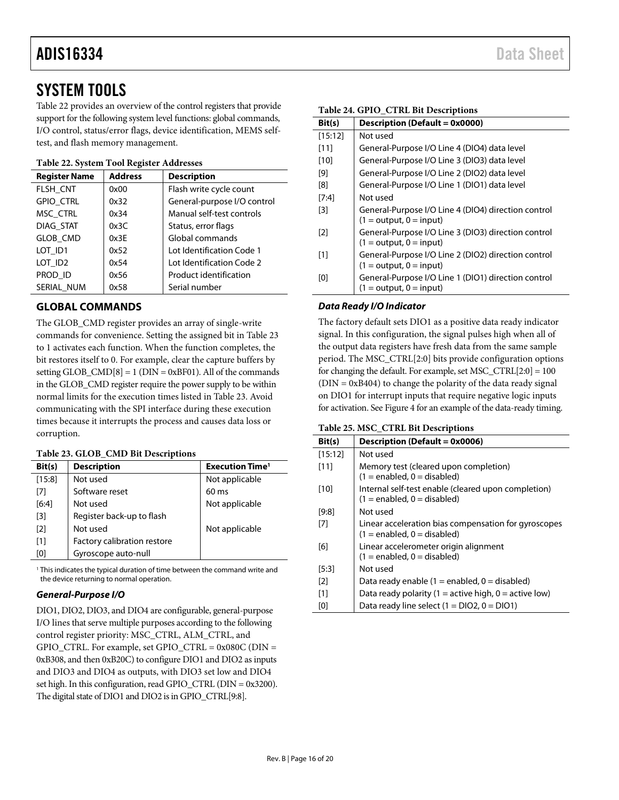# <span id="page-15-0"></span>SYSTEM TOOLS

[Table 22](#page-15-5) provides an overview of the control registers that provide support for the following system level functions: global commands, I/O control, status/error flags, device identification, MEMS selftest, and flash memory management.

### <span id="page-15-5"></span>**Table 22. System Tool Register Addresses**

| <b>Register Name</b> | <b>Address</b> | <b>Description</b>          |
|----------------------|----------------|-----------------------------|
| FLSH CNT             | 0x00           | Flash write cycle count     |
| <b>GPIO CTRL</b>     | 0x32           | General-purpose I/O control |
| MSC CTRL             | 0x34           | Manual self-test controls   |
| DIAG_STAT            | 0x3C           | Status, error flags         |
| <b>GLOB CMD</b>      | 0x3E           | Global commands             |
| LOT ID1              | 0x52           | Lot Identification Code 1   |
| LOT ID <sub>2</sub>  | 0x54           | Lot Identification Code 2   |
| PROD ID              | 0x56           | Product identification      |
| SERIAL NUM           | 0x58           | Serial number               |

# <span id="page-15-1"></span>**GLOBAL COMMANDS**

The GLOB\_CMD register provides an array of single-write commands for convenience. Setting the assigned bit in [Table 23](#page-15-4) to 1 activates each function. When the function completes, the bit restores itself to 0. For example, clear the capture buffers by setting  $GLOB\_CMD[8] = 1$  ( $DIN = 0xBF01$ ). All of the commands in the GLOB\_CMD register require the power supply to be within normal limits for the execution times listed i[n Table 23.](#page-15-4) Avoid communicating with the SPI interface during these execution times because it interrupts the process and causes data loss or corruption.

### <span id="page-15-4"></span>**Table 23. GLOB\_CMD Bit Descriptions**

| Bit(s)            | <b>Description</b>          | <b>Execution Time<sup>1</sup></b> |
|-------------------|-----------------------------|-----------------------------------|
| [15:8]            | Not used                    | Not applicable                    |
| [7]               | Software reset              | $60 \text{ ms}$                   |
| [6:4]             | Not used                    | Not applicable                    |
| $\lceil 3 \rceil$ | Register back-up to flash   |                                   |
| $\lceil 2 \rceil$ | Not used                    | Not applicable                    |
| [1]               | Factory calibration restore |                                   |
| [0]               | Gyroscope auto-null         |                                   |

<sup>1</sup> This indicates the typical duration of time between the command write and the device returning to normal operation.

## *General-Purpose I/O*

DIO1, DIO2, DIO3, and DIO4 are configurable, general-purpose I/O lines that serve multiple purposes according to the following control register priority: MSC\_CTRL, ALM\_CTRL, and  $GPIO_CTRL$ . For example, set  $GPIO_CTRL = 0x080C(DIN =$ 0xB308, and then 0xB20C) to configure DIO1 and DIO2 as inputs and DIO3 and DIO4 as outputs, with DIO3 set low and DIO4 set high. In this configuration, read GPIO\_CTRL (DIN = 0x3200). The digital state of DIO1 and DIO2 is in GPIO\_CTRL[9:8].

#### <span id="page-15-2"></span>**Table 24. GPIO\_CTRL Bit Descriptions**

| Bit(s)  | Description (Default = 0x0000)                                                   |
|---------|----------------------------------------------------------------------------------|
| [15:12] | Not used                                                                         |
| [11]    | General-Purpose I/O Line 4 (DIO4) data level                                     |
| [10]    | General-Purpose I/O Line 3 (DIO3) data level                                     |
| [9]     | General-Purpose I/O Line 2 (DIO2) data level                                     |
| [8]     | General-Purpose I/O Line 1 (DIO1) data level                                     |
| $[7:4]$ | Not used                                                                         |
| [3]     | General-Purpose I/O Line 4 (DIO4) direction control<br>$(1 = output, 0 = input)$ |
| [2]     | General-Purpose I/O Line 3 (DIO3) direction control<br>$(1 = output, 0 = input)$ |
| [1]     | General-Purpose I/O Line 2 (DIO2) direction control<br>$(1 = output, 0 = input)$ |
| [0]     | General-Purpose I/O Line 1 (DIO1) direction control<br>$(1 = output, 0 = input)$ |

## *Data Ready I/O Indicator*

The factory default sets DIO1 as a positive data ready indicator signal. In this configuration, the signal pulses high when all of the output data registers have fresh data from the same sample period. The MSC\_CTRL[2:0] bits provide configuration options for changing the default. For example, set MSC\_CTRL[2:0] = 100  $(DIN = 0xB404)$  to change the polarity of the data ready signal on DIO1 for interrupt inputs that require negative logic inputs for activation. See [Figure 4](#page-4-3) for an example of the data-ready timing.

<span id="page-15-3"></span>

|  |  |  |  | Table 25. MSC_CTRL Bit Descriptions |
|--|--|--|--|-------------------------------------|
|--|--|--|--|-------------------------------------|

| Bit(s)  | Description (Default = 0x0006)                                                          |
|---------|-----------------------------------------------------------------------------------------|
| [15:12] | Not used                                                                                |
| $[11]$  | Memory test (cleared upon completion)<br>$(1 = enabled, 0 = disabled)$                  |
| [10]    | Internal self-test enable (cleared upon completion)<br>$(1 =$ enabled, $0 =$ disabled)  |
| [9:8]   | Not used                                                                                |
| [7]     | Linear acceleration bias compensation for gyroscopes<br>$(1 =$ enabled, $0 =$ disabled) |
| [6]     | Linear accelerometer origin alignment<br>$(1 =$ enabled, $0 =$ disabled)                |
| [5:3]   | Not used                                                                                |
| [2]     | Data ready enable $(1 =$ enabled, $0 =$ disabled)                                       |
| [1]     | Data ready polarity (1 = active high, $0 =$ active low)                                 |
| [0]     | Data ready line select $(1 = DIO2, 0 = DIO1)$                                           |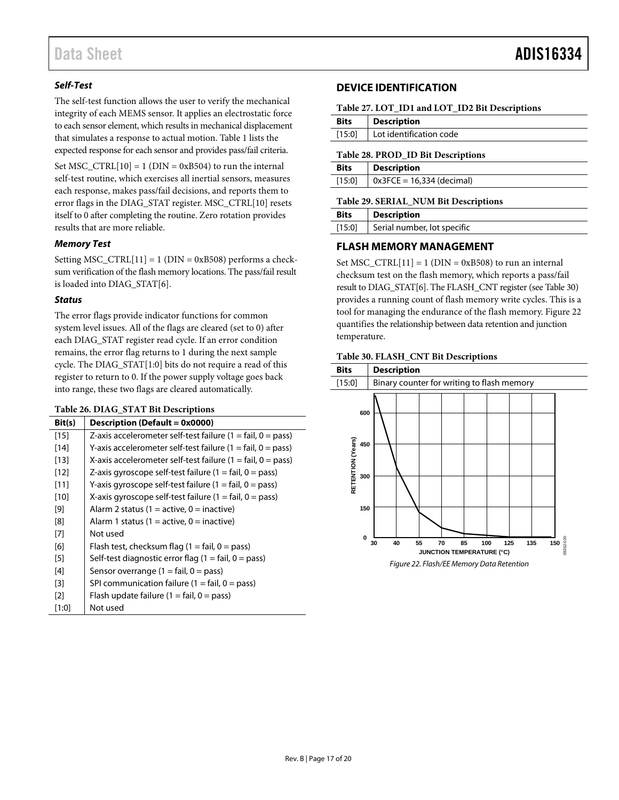## *Self-Test*

The self-test function allows the user to verify the mechanical integrity of each MEMS sensor. It applies an electrostatic force to each sensor element, which results in mechanical displacement that simulates a response to actual motion[. Table 1](#page-2-1) lists the expected response for each sensor and provides pass/fail criteria.

Set  $MSC_CTRL[10] = 1$  (DIN = 0xB504) to run the internal self-test routine, which exercises all inertial sensors, measures each response, makes pass/fail decisions, and reports them to error flags in the DIAG\_STAT register. MSC\_CTRL[10] resets itself to 0 after completing the routine. Zero rotation provides results that are more reliable.

### *Memory Test*

Setting MSC\_CTRL[11] = 1 (DIN = 0xB508) performs a checksum verification of the flash memory locations. The pass/fail result is loaded into DIAG\_STAT[6].

### *Status*

The error flags provide indicator functions for common system level issues. All of the flags are cleared (set to 0) after each DIAG\_STAT register read cycle. If an error condition remains, the error flag returns to 1 during the next sample cycle. The DIAG\_STAT[1:0] bits do not require a read of this register to return to 0. If the power supply voltage goes back into range, these two flags are cleared automatically.

### <span id="page-16-3"></span>**Table 26. DIAG\_STAT Bit Descriptions**

| Bit(s)            | Description (Default = 0x0000)                                              |
|-------------------|-----------------------------------------------------------------------------|
| $[15]$            | Z-axis accelerometer self-test failure $(1 = \text{fail}, 0 = \text{pass})$ |
| $[14]$            | Y-axis accelerometer self-test failure $(1 = \text{fail}, 0 = \text{pass})$ |
| $[13]$            | X-axis accelerometer self-test failure (1 = fail, $0 = \text{pass}$ )       |
| $[12]$            | Z-axis gyroscope self-test failure (1 = fail, 0 = pass)                     |
| [11]              | Y-axis gyroscope self-test failure (1 = fail, 0 = pass)                     |
| $[10]$            | X-axis gyroscope self-test failure $(1 = \text{fail}, 0 = \text{pass})$     |
| [9]               | Alarm 2 status (1 = active, 0 = inactive)                                   |
| [8]               | Alarm 1 status (1 = active, 0 = inactive)                                   |
| $[7]$             | Not used                                                                    |
| [6]               | Flash test, checksum flag $(1 = \text{fail}, 0 = \text{pass})$              |
| [5]               | Self-test diagnostic error flag $(1 = \text{fail}, 0 = \text{pass})$        |
| $[4]$             | Sensor overrange $(1 = \text{fail}, 0 = \text{pass})$                       |
| $[3]$             | SPI communication failure $(1 = \text{fail}, 0 = \text{pass})$              |
| $\lceil 2 \rceil$ | Flash update failure $(1 = \text{fail}, 0 = \text{pass})$                   |
| [1:0]             | Not used                                                                    |

### <span id="page-16-0"></span>**DEVICE IDENTIFICATION**

<span id="page-16-4"></span>

| Table 27. LOT_ID1 and LOT_ID2 Bit Descriptions |  |
|------------------------------------------------|--|
|------------------------------------------------|--|

| <b>Bits</b> | <b>Description</b>      |  |
|-------------|-------------------------|--|
| [15:0]      | Lot identification code |  |
|             |                         |  |

#### <span id="page-16-5"></span>**Table 28. PROD\_ID Bit Descriptions**

| <b>Bits</b> | <b>Description</b>          |
|-------------|-----------------------------|
| [15:0]      | $0x3FCE = 16,334$ (decimal) |
|             |                             |

#### <span id="page-16-6"></span>**Table 29. SERIAL\_NUM Bit Descriptions**

| <b>Bits</b> | <b>Description</b>          |
|-------------|-----------------------------|
| [15:0]      | Serial number, lot specific |

### <span id="page-16-1"></span>**FLASH MEMORY MANAGEMENT**

Set MSC\_CTRL $[11] = 1$  (DIN = 0xB508) to run an internal checksum test on the flash memory, which reports a pass/fail result to DIAG\_STAT[6]. The FLASH\_CNT register (se[e Table 30\)](#page-16-2) provides a running count of flash memory write cycles. This is a tool for managing the endurance of the flash memory[. Figure 22](#page-16-7) quantifies the relationship between data retention and junction temperature.

#### <span id="page-16-2"></span>**Table 30. FLASH\_CNT Bit Descriptions**

<span id="page-16-7"></span>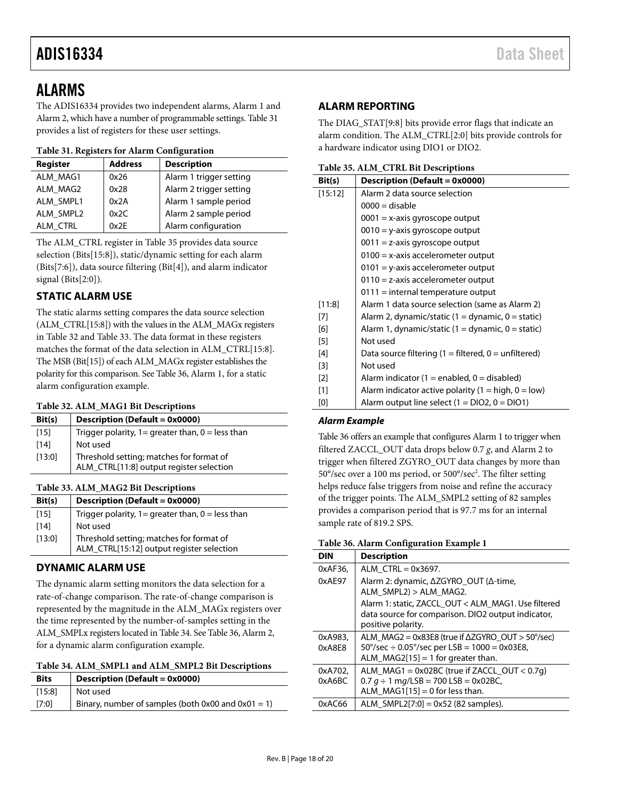# <span id="page-17-0"></span>ALARMS

The ADIS16334 provides two independent alarms, Alarm 1 and Alarm 2, which have a number of programmable settings[. Table 31](#page-17-8) provides a list of registers for these user settings.

### <span id="page-17-8"></span>**Table 31. Registers for Alarm Configuration**

| Register  | <b>Address</b> | <b>Description</b>      |
|-----------|----------------|-------------------------|
| ALM MAG1  | 0x26           | Alarm 1 trigger setting |
| ALM MAG2  | 0x28           | Alarm 2 trigger setting |
| ALM SMPL1 | 0x2A           | Alarm 1 sample period   |
| ALM SMPL2 | 0x2C           | Alarm 2 sample period   |
| ALM CTRL  | 0x2F           | Alarm configuration     |

The ALM\_CTRL register i[n Table 35](#page-17-7) provides data source selection (Bits[15:8]), static/dynamic setting for each alarm (Bits[7:6]), data source filtering (Bit[4]), and alarm indicator signal (Bits[2:0]).

# <span id="page-17-1"></span>**STATIC ALARM USE**

The static alarms setting compares the data source selection (ALM\_CTRL[15:8]) with the values in the ALM\_MAGx registers in [Table 32](#page-17-4) and [Table 33.](#page-17-5) The data format in these registers matches the format of the data selection in ALM\_CTRL[15:8]. The MSB (Bit[15]) of each ALM\_MAGx register establishes the polarity for this comparison. Se[e Table 36,](#page-17-9) Alarm 1, for a static alarm configuration example.

### <span id="page-17-4"></span>**Table 32. ALM\_MAG1 Bit Descriptions**

| Bit(s) | Description (Default = 0x0000)                        |
|--------|-------------------------------------------------------|
| $[15]$ | Trigger polarity, $1 =$ greater than, $0 =$ less than |
| $[14]$ | Not used                                              |
| [13:0] | Threshold setting; matches for format of              |
|        | ALM_CTRL[11:8] output register selection              |

## <span id="page-17-5"></span>**Table 33. ALM\_MAG2 Bit Descriptions**

| Bit(s) | Description (Default = 0x0000)                        |
|--------|-------------------------------------------------------|
| $[15]$ | Trigger polarity, $1 =$ greater than, $0 =$ less than |
| [14]   | Not used                                              |
| [13:0] | Threshold setting; matches for format of              |
|        | ALM_CTRL[15:12] output register selection             |

# <span id="page-17-2"></span>**DYNAMIC ALARM USE**

The dynamic alarm setting monitors the data selection for a rate-of-change comparison. The rate-of-change comparison is represented by the magnitude in the ALM\_MAGx registers over the time represented by the number-of-samples setting in the ALM\_SMPLx registers located in [Table 34.](#page-17-6) See [Table 36,](#page-17-9) Alarm 2, for a dynamic alarm configuration example.

<span id="page-17-6"></span>

| Table 34. ALM_SMPL1 and ALM_SMPL2 Bit Descriptions |
|----------------------------------------------------|
|----------------------------------------------------|

| <b>Bits</b> | <b>Description (Default = 0x0000)</b>                   |
|-------------|---------------------------------------------------------|
| [15:8]      | Not used                                                |
| [7:0]       | Binary, number of samples (both $0x00$ and $0x01 = 1$ ) |

# <span id="page-17-3"></span>**ALARM REPORTING**

The DIAG\_STAT[9:8] bits provide error flags that indicate an alarm condition. The ALM\_CTRL[2:0] bits provide controls for a hardware indicator using DIO1 or DIO2.

<span id="page-17-7"></span>**Table 35. ALM\_CTRL Bit Descriptions**

| Bit(s)  | Description (Default = 0x0000)                           |
|---------|----------------------------------------------------------|
| [15:12] | Alarm 2 data source selection                            |
|         | $0000 =$ disable                                         |
|         | $0001 = x-axis$ gyroscope output                         |
|         | $0010 = y$ -axis gyroscope output                        |
|         | $0011 = z$ -axis gyroscope output                        |
|         | $0100 = x$ -axis accelerometer output                    |
|         | $0101 =$ y-axis accelerometer output                     |
|         | $0110$ = z-axis accelerometer output                     |
|         | $0111 =$ internal temperature output                     |
| [11:8]  | Alarm 1 data source selection (same as Alarm 2)          |
| $[7]$   | Alarm 2, dynamic/static $(1 =$ dynamic, $0 =$ static)    |
| [6]     | Alarm 1, dynamic/static $(1 =$ dynamic, $0 =$ static)    |
| $[5]$   | Not used                                                 |
| [4]     | Data source filtering $(1 =$ filtered, $0 =$ unfiltered) |
| [3]     | Not used                                                 |
| $[2]$   | Alarm indicator (1 = enabled, 0 = disabled)              |
| [1]     | Alarm indicator active polarity (1 = high, 0 = low)      |
| [0]     | Alarm output line select $(1 = DIO2, 0 = DIO1)$          |

## *Alarm Example*

[Table 36](#page-17-9) offers an example that configures Alarm 1 to trigger when filtered ZACCL\_OUT data drops below 0.7 *g*, and Alarm 2 to trigger when filtered ZGYRO\_OUT data changes by more than 50°/sec over a 100 ms period, or 500°/sec2 . The filter setting helps reduce false triggers from noise and refine the accuracy of the trigger points. The ALM\_SMPL2 setting of 82 samples provides a comparison period that is 97.7 ms for an internal sample rate of 819.2 SPS.

<span id="page-17-9"></span>

| DIN               | <b>Description</b>                                                                                                                                                     |
|-------------------|------------------------------------------------------------------------------------------------------------------------------------------------------------------------|
| 0xAF36,           | ALM $CTRL = 0x3697$ .                                                                                                                                                  |
| 0xAE97            | Alarm 2: dynamic, ΔZGYRO OUT (Δ-time,<br>ALM SMPL2) > ALM MAG2.                                                                                                        |
|                   | Alarm 1: static, ZACCL OUT < ALM MAG1. Use filtered<br>data source for comparison. DIO2 output indicator,<br>positive polarity.                                        |
| 0xA983,<br>0xA8E8 | ALM MAG2 = $0x83E8$ (true if $\Delta Z$ GYRO OUT > 50°/sec)<br>$50^{\circ}/sec \div 0.05^{\circ}/sec$ per LSB = 1000 = 0x03E8,<br>ALM $MAG2[15] = 1$ for greater than. |
| 0xA702,<br>0xA6BC | ALM MAG1 = $0x02BC$ (true if ZACCL OUT < $0.7q$ )<br>$0.7 g \div 1$ mg/LSB = 700 LSB = 0x02BC,<br>ALM $MAG1[15] = 0$ for less than.                                    |
| 0xAC66            | ALM SMPL2[7:0] = $0x52$ (82 samples).                                                                                                                                  |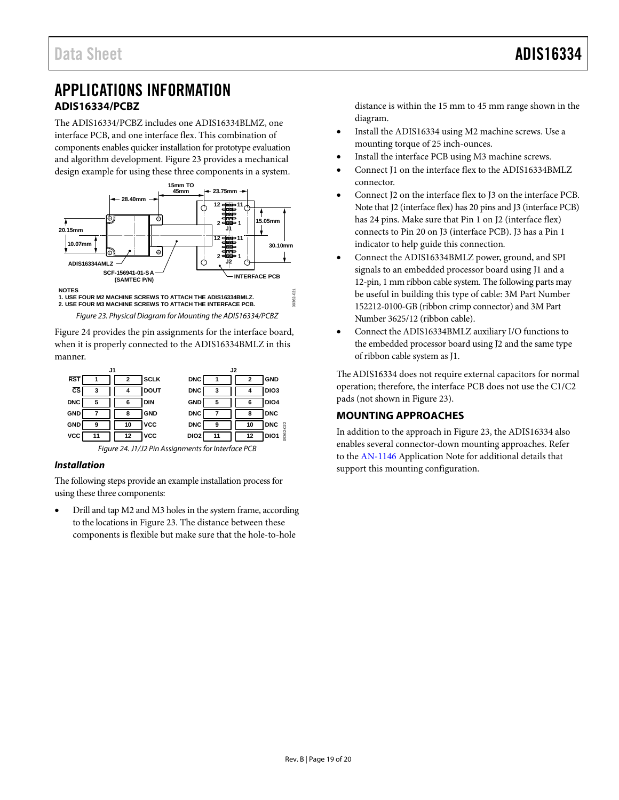# <span id="page-18-2"></span><span id="page-18-0"></span>APPLICATIONS INFORMATION **ADIS16334/PCBZ**

<span id="page-18-1"></span>The ADIS16334/PCBZ includes one ADIS16334BLMZ, one interface PCB, and one interface flex. This combination of components enables quicker installation for prototype evaluation and algorithm development[. Figure 23](#page-18-3) provides a mechanical design example for using these three components in a system.



<span id="page-18-3"></span>[Figure 24 p](#page-18-4)rovides the pin assignments for the interface board, when it is properly connected to the ADIS16334BMLZ in this manner.



# <span id="page-18-4"></span>**Installation**

The following steps provide an example installation process for using these three components:

 Drill and tap M2 and M3 holes in the system frame, according to the locations i[n Figure 23.](#page-18-3) The distance between these components is flexible but make sure that the hole-to-hole

distance is within the 15 mm to 45 mm range shown in the diagram.

- Install the ADIS16334 using M2 machine screws. Use a mounting torque of 25 inch-ounces.
- Install the interface PCB using M3 machine screws.
- Connect J1 on the interface flex to the ADIS16334BMLZ connector.
- Connect J2 on the interface flex to J3 on the interface PCB. Note that J2 (interface flex) has 20 pins and J3 (interface PCB) has 24 pins. Make sure that Pin 1 on J2 (interface flex) connects to Pin 20 on J3 (interface PCB). J3 has a Pin 1 indicator to help guide this connection.
- Connect the ADIS16334BMLZ power, ground, and SPI signals to an embedded processor board using J1 and a 12-pin, 1 mm ribbon cable system. The following parts may be useful in building this type of cable: 3M Part Number 152212-0100-GB (ribbon crimp connector) and 3M Part Number 3625/12 (ribbon cable).
- Connect the ADIS16334BMLZ auxiliary I/O functions to the embedded processor board using J2 and the same type of ribbon cable system as J1.

The ADIS16334 does not require external capacitors for normal operation; therefore, the interface PCB does not use the C1/C2 pads (not shown in [Figure 23\).](#page-18-3)

# **MOUNTING APPROACHES**

In addition to the approach in [Figure 23,](#page-18-3) the ADIS16334 also enables several connector-down mounting approaches. Refer to the [AN-1146 A](http://www.analog.com/AN-1146)pplication Note for additional details that support this mounting configuration.